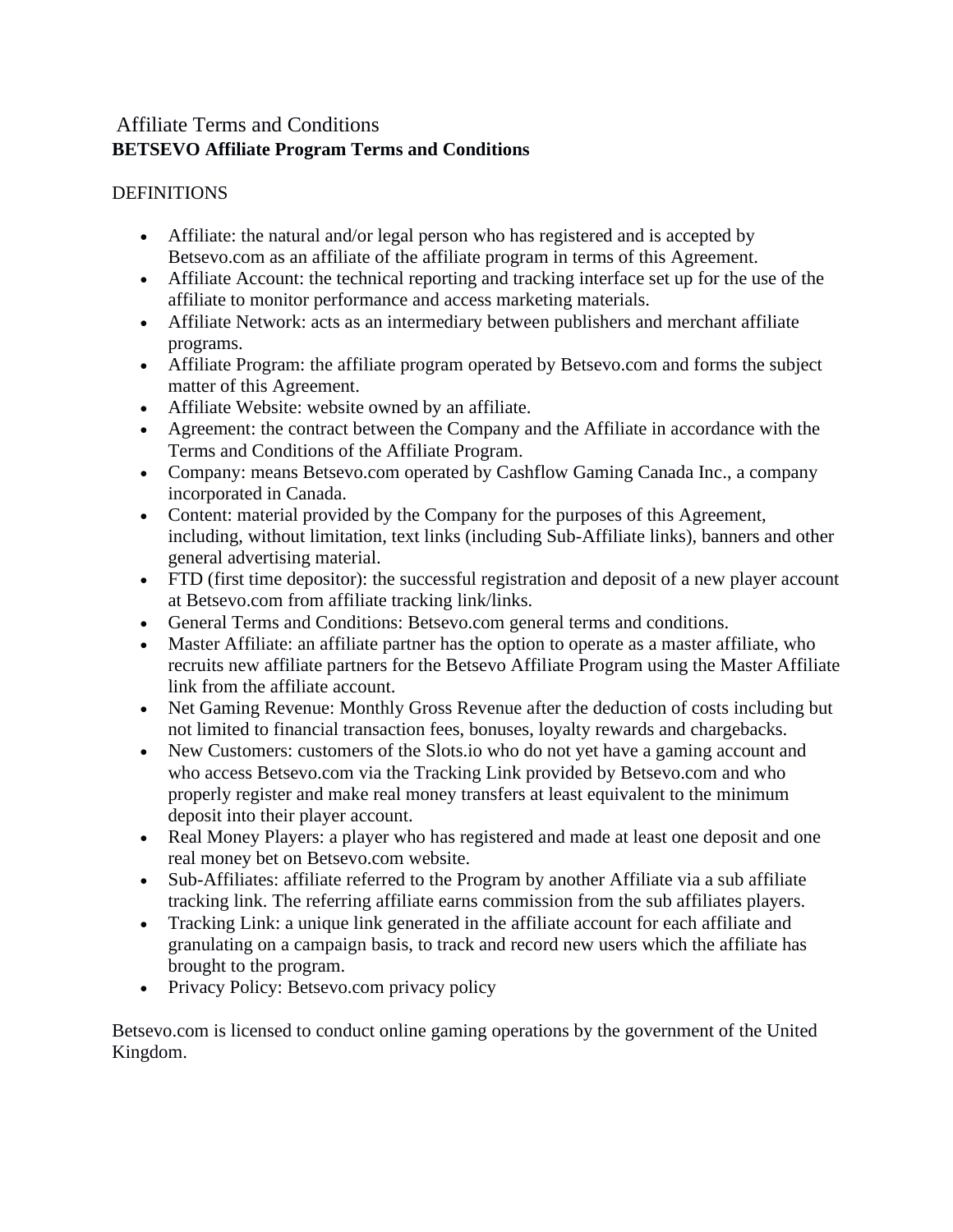# Affiliate Terms and Conditions **BETSEVO Affiliate Program Terms and Conditions**

## **DEFINITIONS**

- Affiliate: the natural and/or legal person who has registered and is accepted by Betsevo.com as an affiliate of the affiliate program in terms of this Agreement.
- Affiliate Account: the technical reporting and tracking interface set up for the use of the affiliate to monitor performance and access marketing materials.
- Affiliate Network: acts as an intermediary between publishers and merchant affiliate programs.
- Affiliate Program: the affiliate program operated by Betsevo.com and forms the subject matter of this Agreement.
- Affiliate Website: website owned by an affiliate.
- Agreement: the contract between the Company and the Affiliate in accordance with the Terms and Conditions of the Affiliate Program.
- Company: means Betsevo.com operated by Cashflow Gaming Canada Inc., a company incorporated in Canada.
- Content: material provided by the Company for the purposes of this Agreement, including, without limitation, text links (including Sub-Affiliate links), banners and other general advertising material.
- FTD (first time depositor): the successful registration and deposit of a new player account at Betsevo.com from affiliate tracking link/links.
- General Terms and Conditions: Betsevo.com general terms and conditions.
- Master Affiliate: an affiliate partner has the option to operate as a master affiliate, who recruits new affiliate partners for the Betsevo Affiliate Program using the Master Affiliate link from the affiliate account.
- Net Gaming Revenue: Monthly Gross Revenue after the deduction of costs including but not limited to financial transaction fees, bonuses, loyalty rewards and chargebacks.
- New Customers: customers of the Slots.io who do not yet have a gaming account and who access Betsevo.com via the Tracking Link provided by Betsevo.com and who properly register and make real money transfers at least equivalent to the minimum deposit into their player account.
- Real Money Players: a player who has registered and made at least one deposit and one real money bet on Betsevo.com website.
- Sub-Affiliates: affiliate referred to the Program by another Affiliate via a sub affiliate tracking link. The referring affiliate earns commission from the sub affiliates players.
- Tracking Link: a unique link generated in the affiliate account for each affiliate and granulating on a campaign basis, to track and record new users which the affiliate has brought to the program.
- Privacy Policy: Betsevo.com privacy policy

Betsevo.com is licensed to conduct online gaming operations by the government of the United Kingdom.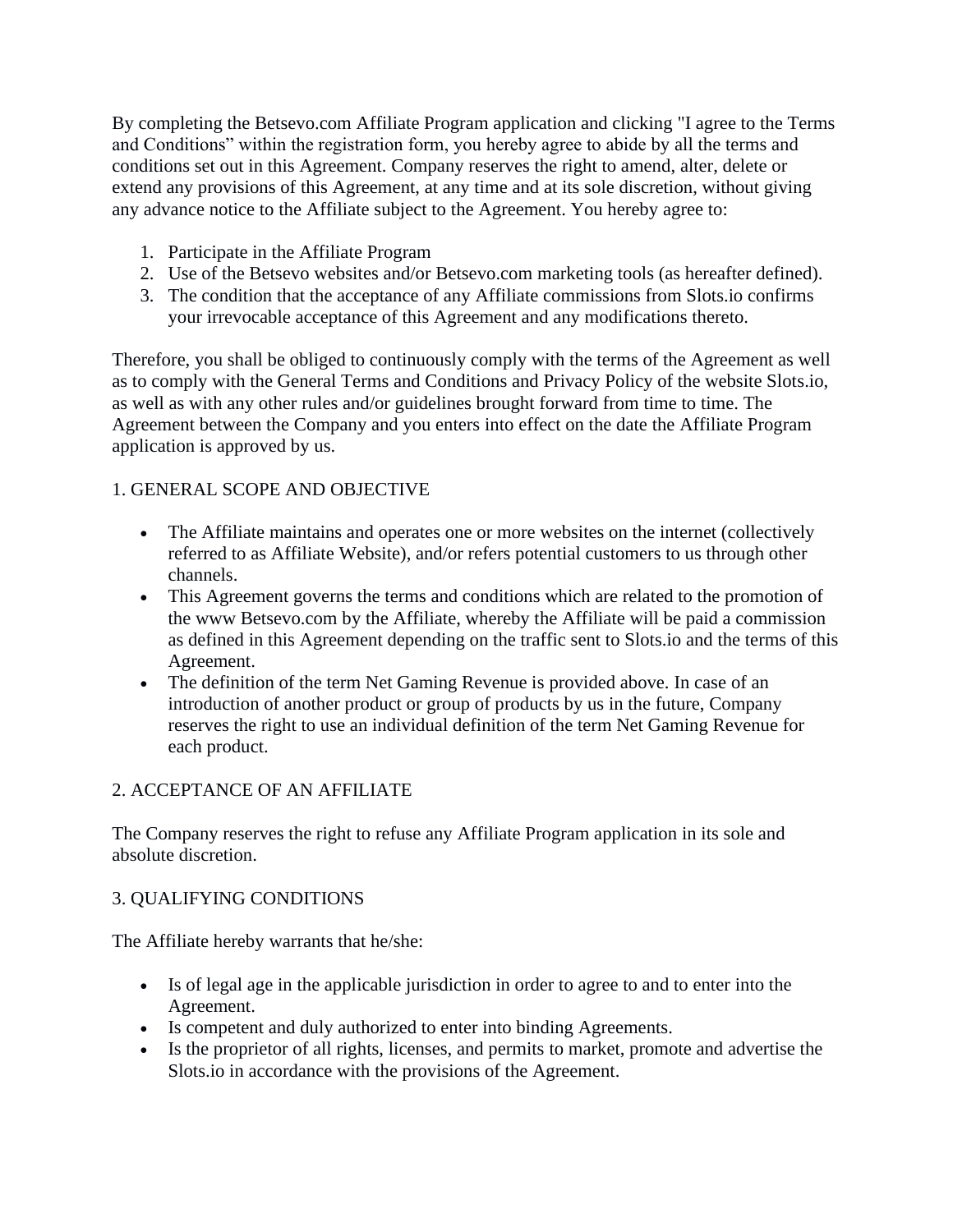By completing the Betsevo.com Affiliate Program application and clicking "I agree to the Terms and Conditions" within the registration form, you hereby agree to abide by all the terms and conditions set out in this Agreement. Company reserves the right to amend, alter, delete or extend any provisions of this Agreement, at any time and at its sole discretion, without giving any advance notice to the Affiliate subject to the Agreement. You hereby agree to:

- 1. Participate in the Affiliate Program
- 2. Use of the Betsevo websites and/or Betsevo.com marketing tools (as hereafter defined).
- 3. The condition that the acceptance of any Affiliate commissions from Slots.io confirms your irrevocable acceptance of this Agreement and any modifications thereto.

Therefore, you shall be obliged to continuously comply with the terms of the Agreement as well as to comply with the General Terms and Conditions and Privacy Policy of the website Slots.io, as well as with any other rules and/or guidelines brought forward from time to time. The Agreement between the Company and you enters into effect on the date the Affiliate Program application is approved by us.

## 1. GENERAL SCOPE AND OBJECTIVE

- The Affiliate maintains and operates one or more websites on the internet (collectively referred to as Affiliate Website), and/or refers potential customers to us through other channels.
- This Agreement governs the terms and conditions which are related to the promotion of the www Betsevo.com by the Affiliate, whereby the Affiliate will be paid a commission as defined in this Agreement depending on the traffic sent to Slots.io and the terms of this Agreement.
- The definition of the term Net Gaming Revenue is provided above. In case of an introduction of another product or group of products by us in the future, Company reserves the right to use an individual definition of the term Net Gaming Revenue for each product.

#### 2. ACCEPTANCE OF AN AFFILIATE

The Company reserves the right to refuse any Affiliate Program application in its sole and absolute discretion.

#### 3. QUALIFYING CONDITIONS

The Affiliate hereby warrants that he/she:

- Is of legal age in the applicable jurisdiction in order to agree to and to enter into the Agreement.
- Is competent and duly authorized to enter into binding Agreements.
- Is the proprietor of all rights, licenses, and permits to market, promote and advertise the Slots.io in accordance with the provisions of the Agreement.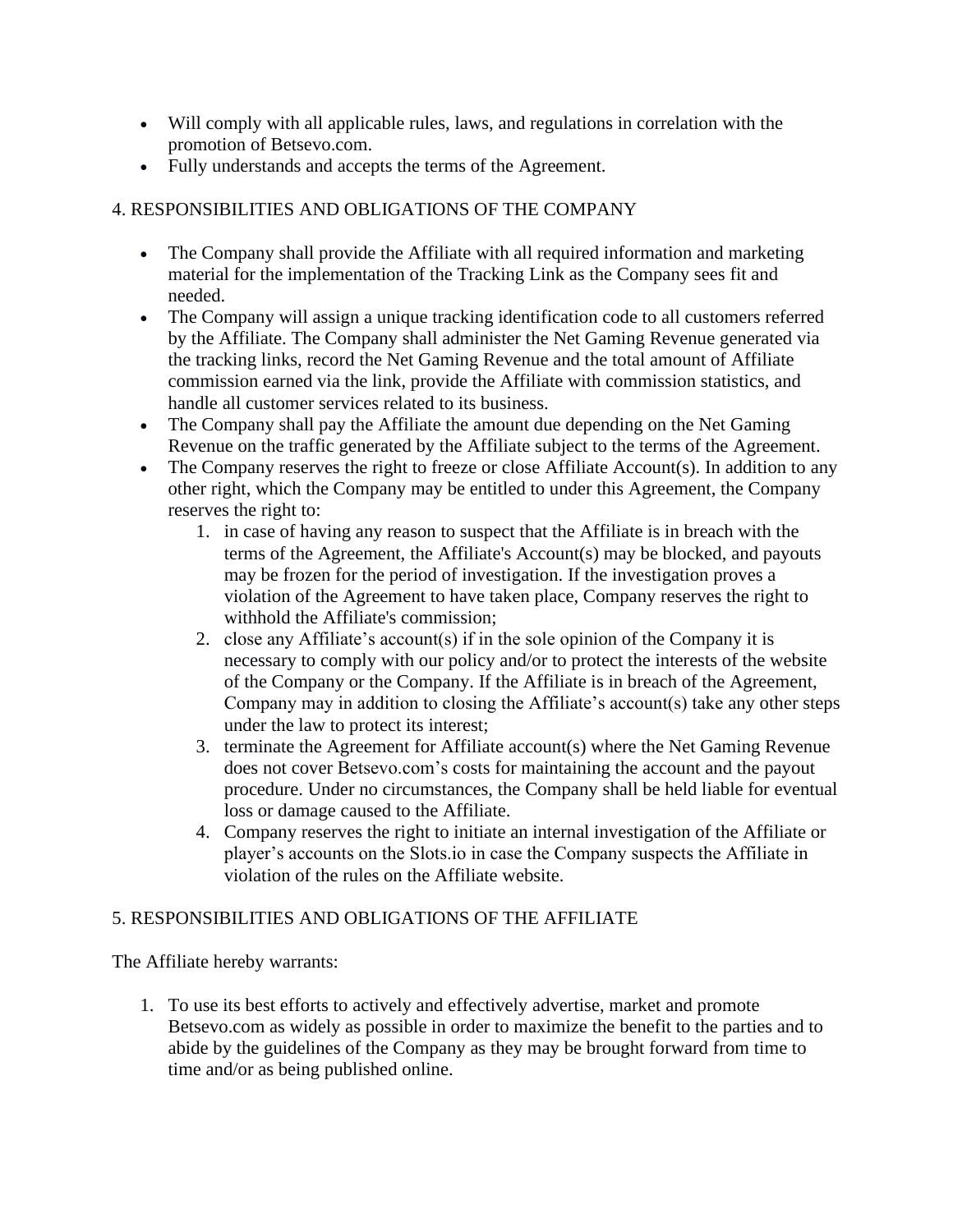- Will comply with all applicable rules, laws, and regulations in correlation with the promotion of Betsevo.com.
- Fully understands and accepts the terms of the Agreement.

# 4. RESPONSIBILITIES AND OBLIGATIONS OF THE COMPANY

- The Company shall provide the Affiliate with all required information and marketing material for the implementation of the Tracking Link as the Company sees fit and needed.
- The Company will assign a unique tracking identification code to all customers referred by the Affiliate. The Company shall administer the Net Gaming Revenue generated via the tracking links, record the Net Gaming Revenue and the total amount of Affiliate commission earned via the link, provide the Affiliate with commission statistics, and handle all customer services related to its business.
- The Company shall pay the Affiliate the amount due depending on the Net Gaming Revenue on the traffic generated by the Affiliate subject to the terms of the Agreement.
- The Company reserves the right to freeze or close Affiliate Account(s). In addition to any other right, which the Company may be entitled to under this Agreement, the Company reserves the right to:
	- 1. in case of having any reason to suspect that the Affiliate is in breach with the terms of the Agreement, the Affiliate's Account(s) may be blocked, and payouts may be frozen for the period of investigation. If the investigation proves a violation of the Agreement to have taken place, Company reserves the right to withhold the Affiliate's commission;
	- 2. close any Affiliate's account(s) if in the sole opinion of the Company it is necessary to comply with our policy and/or to protect the interests of the website of the Company or the Company. If the Affiliate is in breach of the Agreement, Company may in addition to closing the Affiliate's account(s) take any other steps under the law to protect its interest;
	- 3. terminate the Agreement for Affiliate account(s) where the Net Gaming Revenue does not cover Betsevo.com's costs for maintaining the account and the payout procedure. Under no circumstances, the Company shall be held liable for eventual loss or damage caused to the Affiliate.
	- 4. Company reserves the right to initiate an internal investigation of the Affiliate or player's accounts on the Slots.io in case the Company suspects the Affiliate in violation of the rules on the Affiliate website.

# 5. RESPONSIBILITIES AND OBLIGATIONS OF THE AFFILIATE

The Affiliate hereby warrants:

1. To use its best efforts to actively and effectively advertise, market and promote Betsevo.com as widely as possible in order to maximize the benefit to the parties and to abide by the guidelines of the Company as they may be brought forward from time to time and/or as being published online.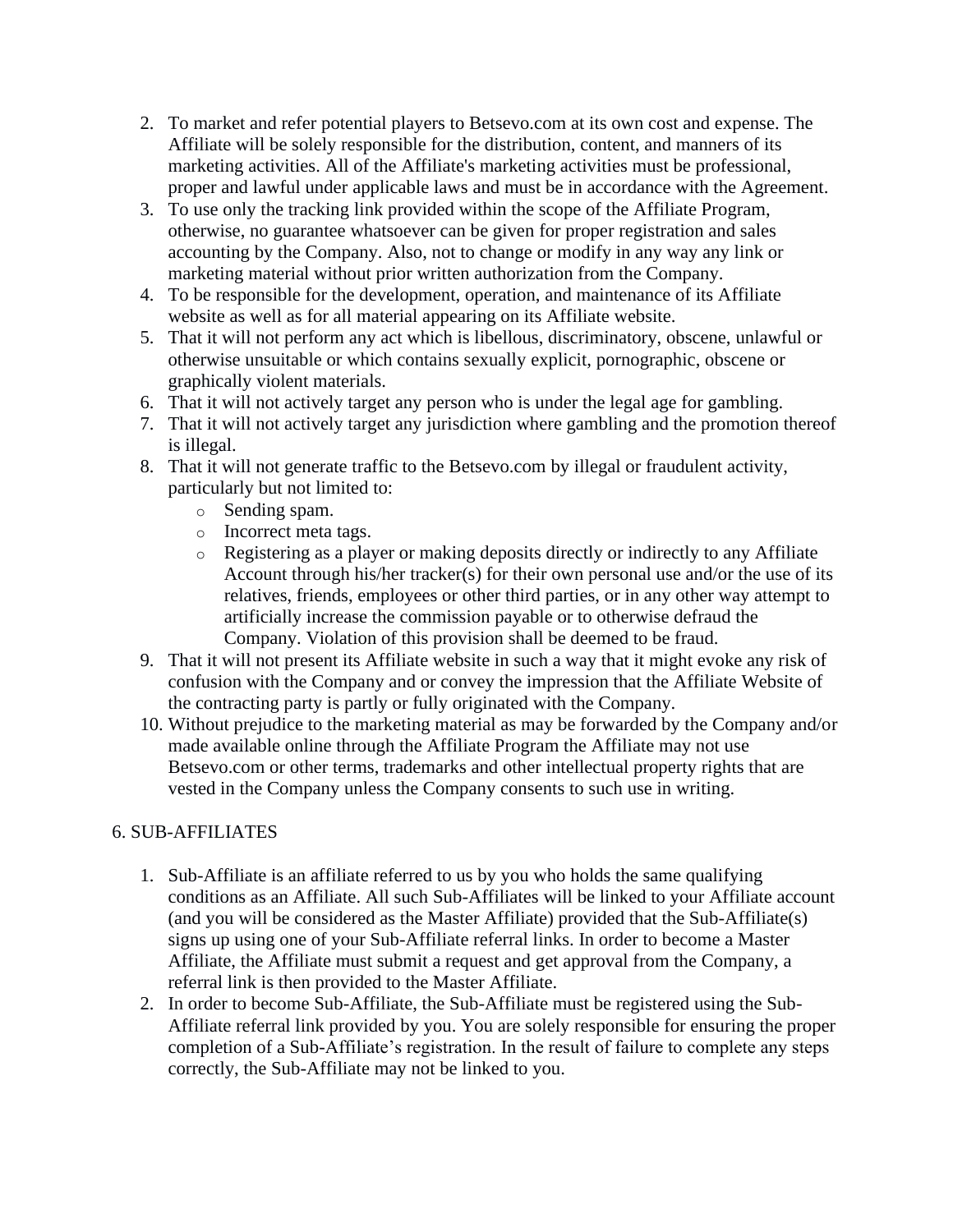- 2. To market and refer potential players to Betsevo.com at its own cost and expense. The Affiliate will be solely responsible for the distribution, content, and manners of its marketing activities. All of the Affiliate's marketing activities must be professional, proper and lawful under applicable laws and must be in accordance with the Agreement.
- 3. To use only the tracking link provided within the scope of the Affiliate Program, otherwise, no guarantee whatsoever can be given for proper registration and sales accounting by the Company. Also, not to change or modify in any way any link or marketing material without prior written authorization from the Company.
- 4. To be responsible for the development, operation, and maintenance of its Affiliate website as well as for all material appearing on its Affiliate website.
- 5. That it will not perform any act which is libellous, discriminatory, obscene, unlawful or otherwise unsuitable or which contains sexually explicit, pornographic, obscene or graphically violent materials.
- 6. That it will not actively target any person who is under the legal age for gambling.
- 7. That it will not actively target any jurisdiction where gambling and the promotion thereof is illegal.
- 8. That it will not generate traffic to the Betsevo.com by illegal or fraudulent activity, particularly but not limited to:
	- o Sending spam.
	- o Incorrect meta tags.
	- o Registering as a player or making deposits directly or indirectly to any Affiliate Account through his/her tracker(s) for their own personal use and/or the use of its relatives, friends, employees or other third parties, or in any other way attempt to artificially increase the commission payable or to otherwise defraud the Company. Violation of this provision shall be deemed to be fraud.
- 9. That it will not present its Affiliate website in such a way that it might evoke any risk of confusion with the Company and or convey the impression that the Affiliate Website of the contracting party is partly or fully originated with the Company.
- 10. Without prejudice to the marketing material as may be forwarded by the Company and/or made available online through the Affiliate Program the Affiliate may not use Betsevo.com or other terms, trademarks and other intellectual property rights that are vested in the Company unless the Company consents to such use in writing.

## 6. SUB-AFFILIATES

- 1. Sub-Affiliate is an affiliate referred to us by you who holds the same qualifying conditions as an Affiliate. All such Sub-Affiliates will be linked to your Affiliate account (and you will be considered as the Master Affiliate) provided that the Sub-Affiliate(s) signs up using one of your Sub-Affiliate referral links. In order to become a Master Affiliate, the Affiliate must submit a request and get approval from the Company, a referral link is then provided to the Master Affiliate.
- 2. In order to become Sub-Affiliate, the Sub-Affiliate must be registered using the Sub-Affiliate referral link provided by you. You are solely responsible for ensuring the proper completion of a Sub-Affiliate's registration. In the result of failure to complete any steps correctly, the Sub-Affiliate may not be linked to you.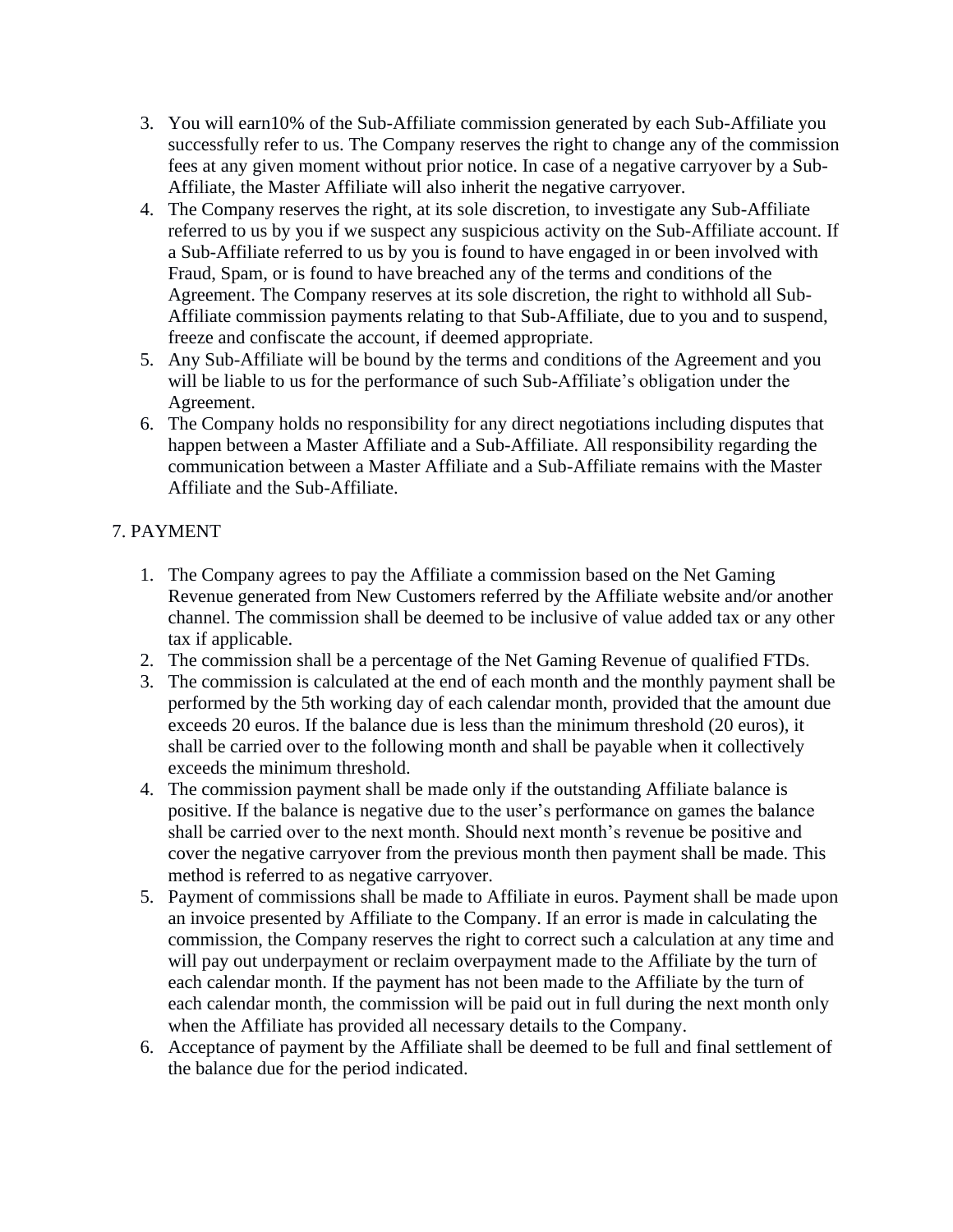- 3. You will earn10% of the Sub-Affiliate commission generated by each Sub-Affiliate you successfully refer to us. The Company reserves the right to change any of the commission fees at any given moment without prior notice. In case of a negative carryover by a Sub-Affiliate, the Master Affiliate will also inherit the negative carryover.
- 4. The Company reserves the right, at its sole discretion, to investigate any Sub-Affiliate referred to us by you if we suspect any suspicious activity on the Sub-Affiliate account. If a Sub-Affiliate referred to us by you is found to have engaged in or been involved with Fraud, Spam, or is found to have breached any of the terms and conditions of the Agreement. The Company reserves at its sole discretion, the right to withhold all Sub-Affiliate commission payments relating to that Sub-Affiliate, due to you and to suspend, freeze and confiscate the account, if deemed appropriate.
- 5. Any Sub-Affiliate will be bound by the terms and conditions of the Agreement and you will be liable to us for the performance of such Sub-Affiliate's obligation under the Agreement.
- 6. The Company holds no responsibility for any direct negotiations including disputes that happen between a Master Affiliate and a Sub-Affiliate. All responsibility regarding the communication between a Master Affiliate and a Sub-Affiliate remains with the Master Affiliate and the Sub-Affiliate.

# 7. PAYMENT

- 1. The Company agrees to pay the Affiliate a commission based on the Net Gaming Revenue generated from New Customers referred by the Affiliate website and/or another channel. The commission shall be deemed to be inclusive of value added tax or any other tax if applicable.
- 2. The commission shall be a percentage of the Net Gaming Revenue of qualified FTDs.
- 3. The commission is calculated at the end of each month and the monthly payment shall be performed by the 5th working day of each calendar month, provided that the amount due exceeds 20 euros. If the balance due is less than the minimum threshold (20 euros), it shall be carried over to the following month and shall be payable when it collectively exceeds the minimum threshold.
- 4. The commission payment shall be made only if the outstanding Affiliate balance is positive. If the balance is negative due to the user's performance on games the balance shall be carried over to the next month. Should next month's revenue be positive and cover the negative carryover from the previous month then payment shall be made. This method is referred to as negative carryover.
- 5. Payment of commissions shall be made to Affiliate in euros. Payment shall be made upon an invoice presented by Affiliate to the Company. If an error is made in calculating the commission, the Company reserves the right to correct such a calculation at any time and will pay out underpayment or reclaim overpayment made to the Affiliate by the turn of each calendar month. If the payment has not been made to the Affiliate by the turn of each calendar month, the commission will be paid out in full during the next month only when the Affiliate has provided all necessary details to the Company.
- 6. Acceptance of payment by the Affiliate shall be deemed to be full and final settlement of the balance due for the period indicated.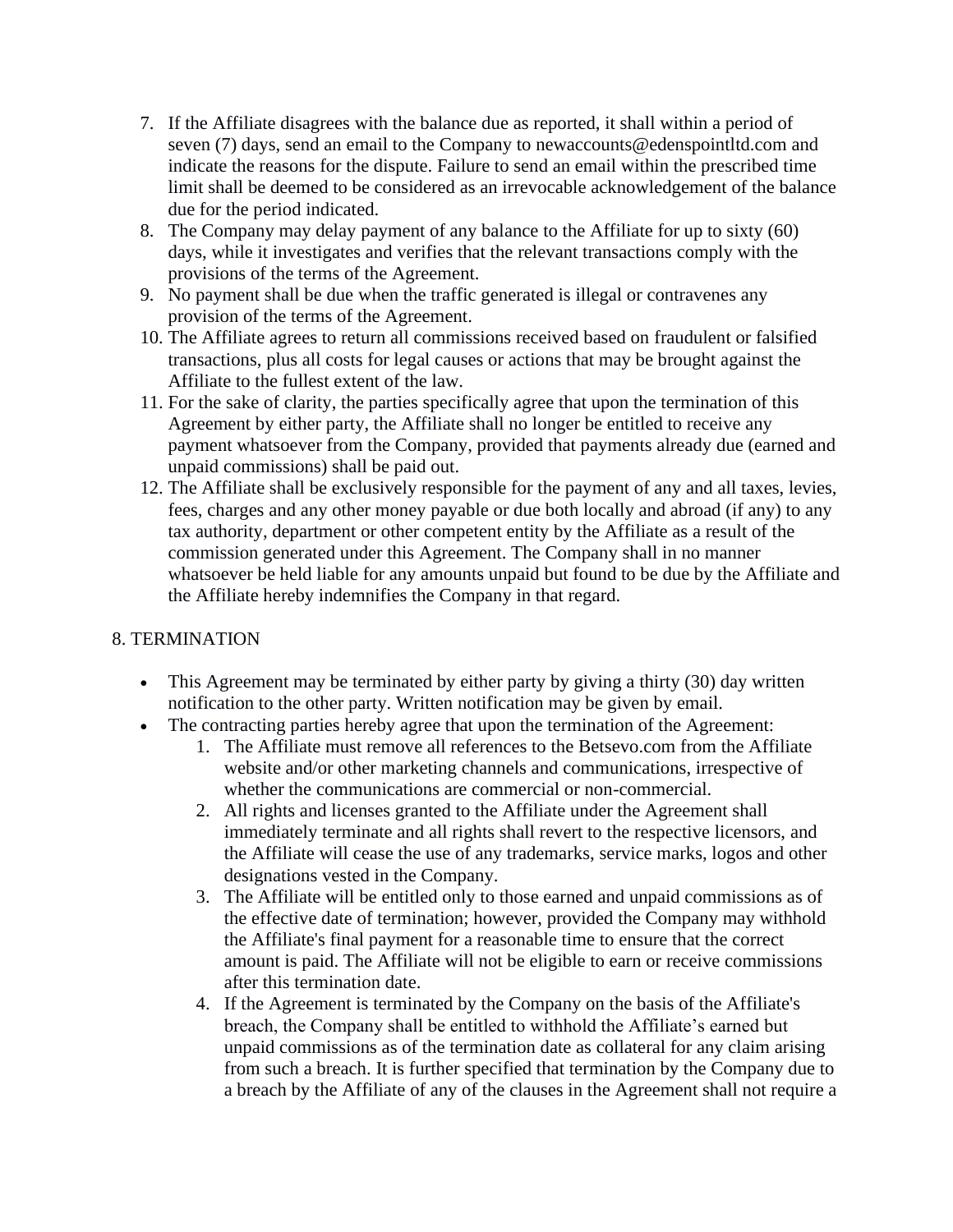- 7. If the Affiliate disagrees with the balance due as reported, it shall within a period of seven (7) days, send an email to the Company to newaccounts@edenspointltd.com and indicate the reasons for the dispute. Failure to send an email within the prescribed time limit shall be deemed to be considered as an irrevocable acknowledgement of the balance due for the period indicated.
- 8. The Company may delay payment of any balance to the Affiliate for up to sixty (60) days, while it investigates and verifies that the relevant transactions comply with the provisions of the terms of the Agreement.
- 9. No payment shall be due when the traffic generated is illegal or contravenes any provision of the terms of the Agreement.
- 10. The Affiliate agrees to return all commissions received based on fraudulent or falsified transactions, plus all costs for legal causes or actions that may be brought against the Affiliate to the fullest extent of the law.
- 11. For the sake of clarity, the parties specifically agree that upon the termination of this Agreement by either party, the Affiliate shall no longer be entitled to receive any payment whatsoever from the Company, provided that payments already due (earned and unpaid commissions) shall be paid out.
- 12. The Affiliate shall be exclusively responsible for the payment of any and all taxes, levies, fees, charges and any other money payable or due both locally and abroad (if any) to any tax authority, department or other competent entity by the Affiliate as a result of the commission generated under this Agreement. The Company shall in no manner whatsoever be held liable for any amounts unpaid but found to be due by the Affiliate and the Affiliate hereby indemnifies the Company in that regard.

#### 8. TERMINATION

- This Agreement may be terminated by either party by giving a thirty (30) day written notification to the other party. Written notification may be given by email.
- The contracting parties hereby agree that upon the termination of the Agreement:
	- 1. The Affiliate must remove all references to the Betsevo.com from the Affiliate website and/or other marketing channels and communications, irrespective of whether the communications are commercial or non-commercial.
	- 2. All rights and licenses granted to the Affiliate under the Agreement shall immediately terminate and all rights shall revert to the respective licensors, and the Affiliate will cease the use of any trademarks, service marks, logos and other designations vested in the Company.
	- 3. The Affiliate will be entitled only to those earned and unpaid commissions as of the effective date of termination; however, provided the Company may withhold the Affiliate's final payment for a reasonable time to ensure that the correct amount is paid. The Affiliate will not be eligible to earn or receive commissions after this termination date.
	- 4. If the Agreement is terminated by the Company on the basis of the Affiliate's breach, the Company shall be entitled to withhold the Affiliate's earned but unpaid commissions as of the termination date as collateral for any claim arising from such a breach. It is further specified that termination by the Company due to a breach by the Affiliate of any of the clauses in the Agreement shall not require a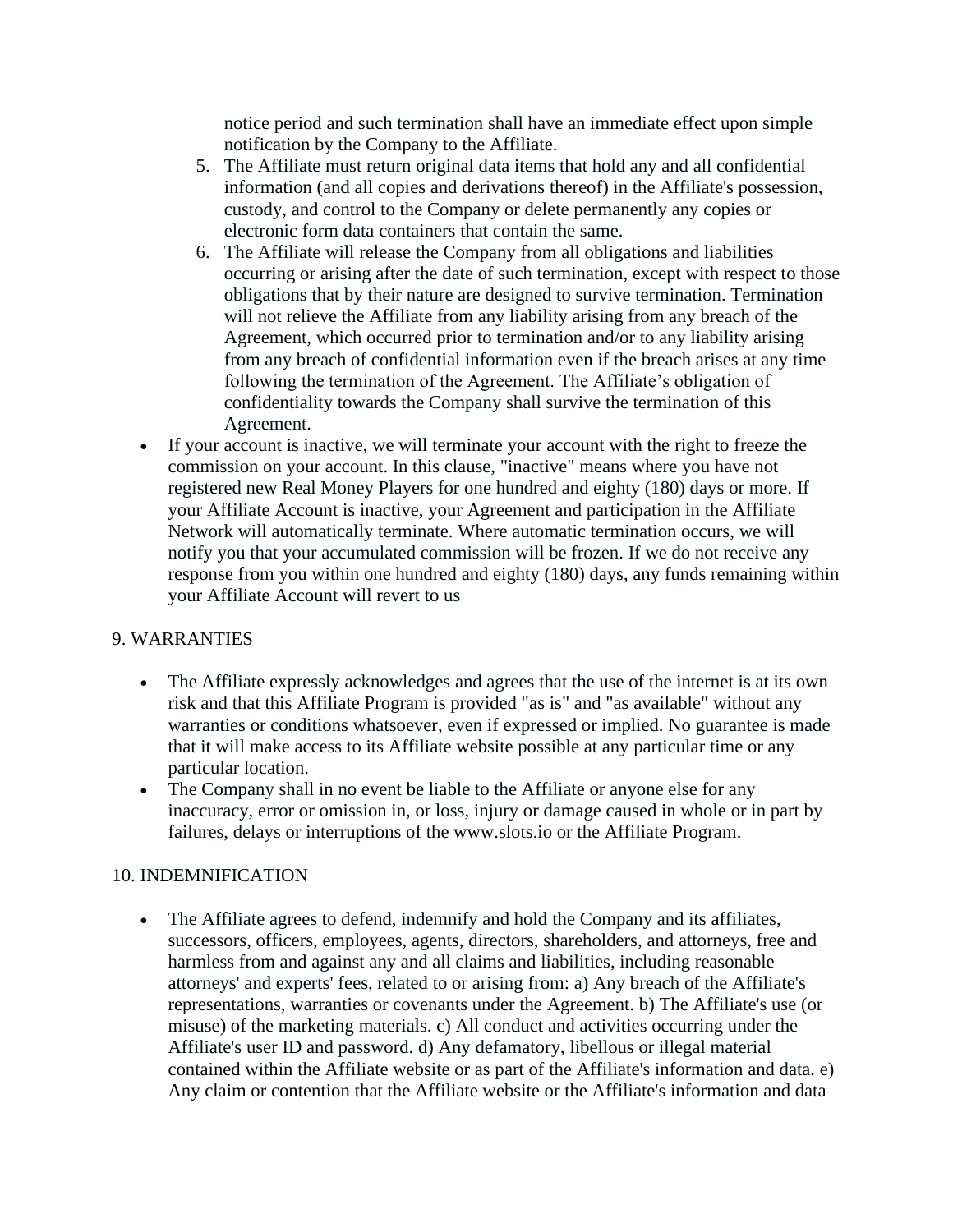notice period and such termination shall have an immediate effect upon simple notification by the Company to the Affiliate.

- 5. The Affiliate must return original data items that hold any and all confidential information (and all copies and derivations thereof) in the Affiliate's possession, custody, and control to the Company or delete permanently any copies or electronic form data containers that contain the same.
- 6. The Affiliate will release the Company from all obligations and liabilities occurring or arising after the date of such termination, except with respect to those obligations that by their nature are designed to survive termination. Termination will not relieve the Affiliate from any liability arising from any breach of the Agreement, which occurred prior to termination and/or to any liability arising from any breach of confidential information even if the breach arises at any time following the termination of the Agreement. The Affiliate's obligation of confidentiality towards the Company shall survive the termination of this Agreement.
- If your account is inactive, we will terminate your account with the right to freeze the commission on your account. In this clause, "inactive" means where you have not registered new Real Money Players for one hundred and eighty (180) days or more. If your Affiliate Account is inactive, your Agreement and participation in the Affiliate Network will automatically terminate. Where automatic termination occurs, we will notify you that your accumulated commission will be frozen. If we do not receive any response from you within one hundred and eighty (180) days, any funds remaining within your Affiliate Account will revert to us

#### 9. WARRANTIES

- The Affiliate expressly acknowledges and agrees that the use of the internet is at its own risk and that this Affiliate Program is provided "as is" and "as available" without any warranties or conditions whatsoever, even if expressed or implied. No guarantee is made that it will make access to its Affiliate website possible at any particular time or any particular location.
- The Company shall in no event be liable to the Affiliate or anyone else for any inaccuracy, error or omission in, or loss, injury or damage caused in whole or in part by failures, delays or interruptions of the www.slots.io or the Affiliate Program.

#### 10. INDEMNIFICATION

• The Affiliate agrees to defend, indemnify and hold the Company and its affiliates, successors, officers, employees, agents, directors, shareholders, and attorneys, free and harmless from and against any and all claims and liabilities, including reasonable attorneys' and experts' fees, related to or arising from: a) Any breach of the Affiliate's representations, warranties or covenants under the Agreement. b) The Affiliate's use (or misuse) of the marketing materials. c) All conduct and activities occurring under the Affiliate's user ID and password. d) Any defamatory, libellous or illegal material contained within the Affiliate website or as part of the Affiliate's information and data. e) Any claim or contention that the Affiliate website or the Affiliate's information and data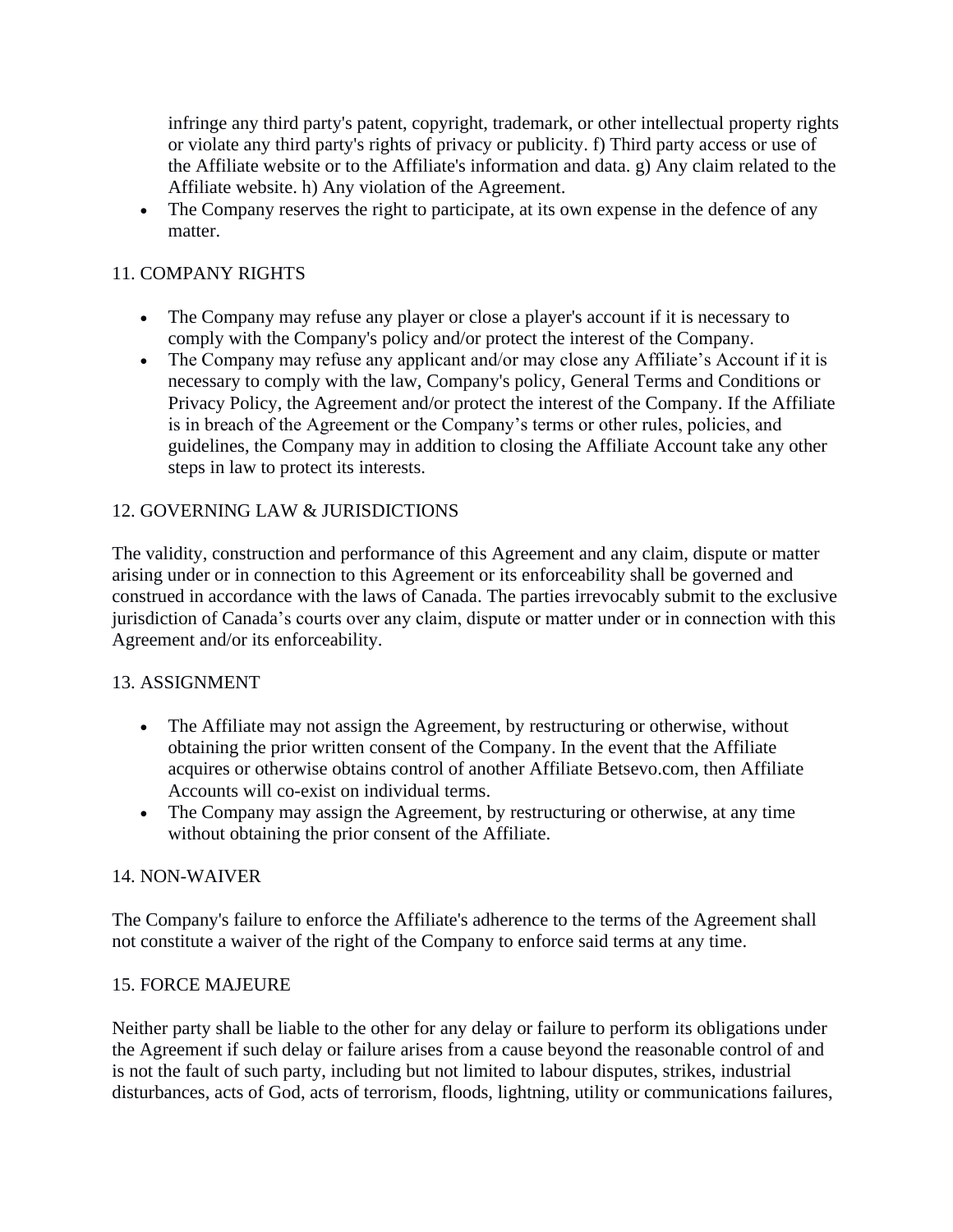infringe any third party's patent, copyright, trademark, or other intellectual property rights or violate any third party's rights of privacy or publicity. f) Third party access or use of the Affiliate website or to the Affiliate's information and data. g) Any claim related to the Affiliate website. h) Any violation of the Agreement.

• The Company reserves the right to participate, at its own expense in the defence of any matter.

### 11. COMPANY RIGHTS

- The Company may refuse any player or close a player's account if it is necessary to comply with the Company's policy and/or protect the interest of the Company.
- The Company may refuse any applicant and/or may close any Affiliate's Account if it is necessary to comply with the law, Company's policy, General Terms and Conditions or Privacy Policy, the Agreement and/or protect the interest of the Company. If the Affiliate is in breach of the Agreement or the Company's terms or other rules, policies, and guidelines, the Company may in addition to closing the Affiliate Account take any other steps in law to protect its interests.

### 12. GOVERNING LAW & JURISDICTIONS

The validity, construction and performance of this Agreement and any claim, dispute or matter arising under or in connection to this Agreement or its enforceability shall be governed and construed in accordance with the laws of Canada. The parties irrevocably submit to the exclusive jurisdiction of Canada's courts over any claim, dispute or matter under or in connection with this Agreement and/or its enforceability.

#### 13. ASSIGNMENT

- The Affiliate may not assign the Agreement, by restructuring or otherwise, without obtaining the prior written consent of the Company. In the event that the Affiliate acquires or otherwise obtains control of another Affiliate Betsevo.com, then Affiliate Accounts will co-exist on individual terms.
- The Company may assign the Agreement, by restructuring or otherwise, at any time without obtaining the prior consent of the Affiliate.

#### 14. NON-WAIVER

The Company's failure to enforce the Affiliate's adherence to the terms of the Agreement shall not constitute a waiver of the right of the Company to enforce said terms at any time.

#### 15. FORCE MAJEURE

Neither party shall be liable to the other for any delay or failure to perform its obligations under the Agreement if such delay or failure arises from a cause beyond the reasonable control of and is not the fault of such party, including but not limited to labour disputes, strikes, industrial disturbances, acts of God, acts of terrorism, floods, lightning, utility or communications failures,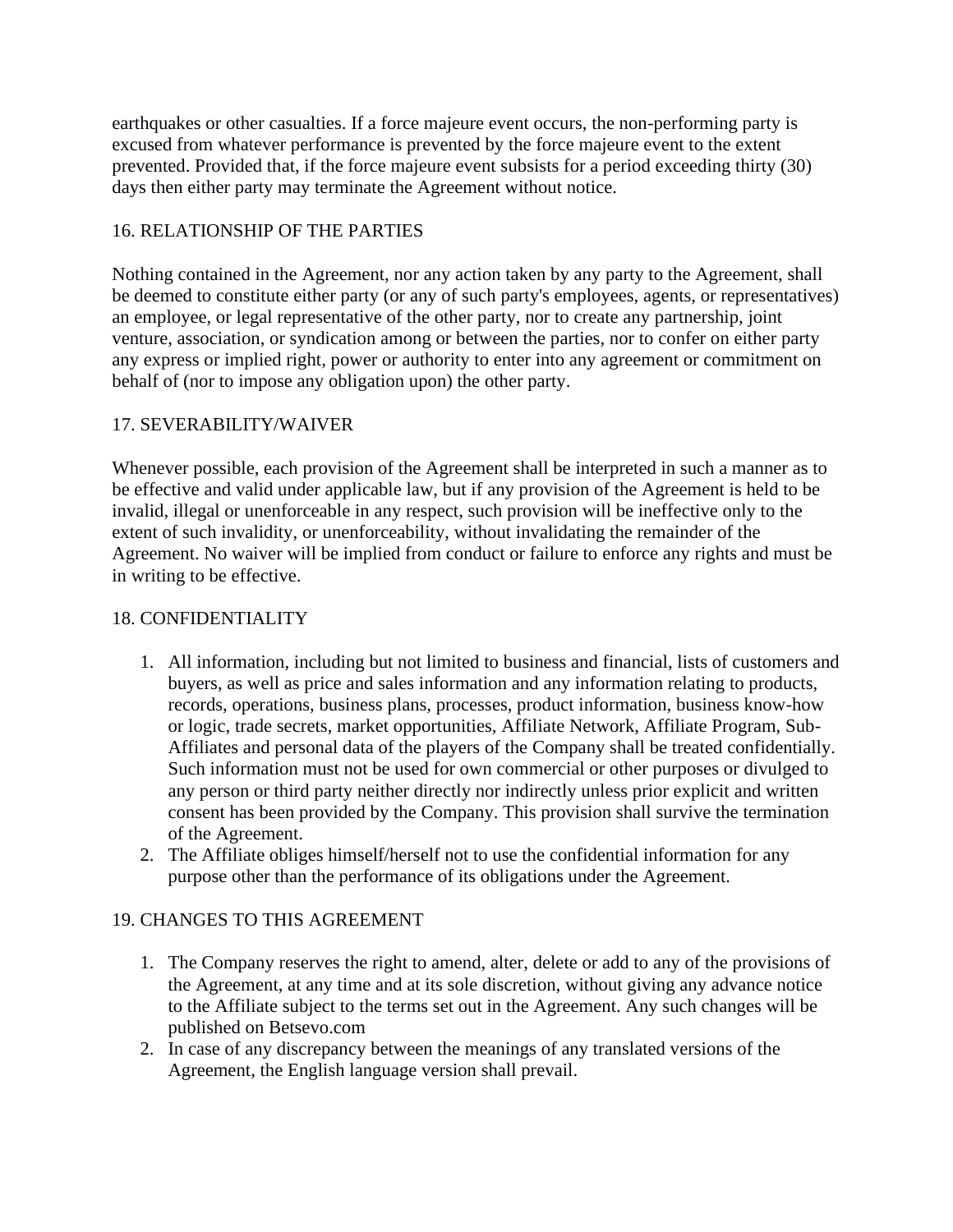earthquakes or other casualties. If a force majeure event occurs, the non-performing party is excused from whatever performance is prevented by the force majeure event to the extent prevented. Provided that, if the force majeure event subsists for a period exceeding thirty (30) days then either party may terminate the Agreement without notice.

### 16. RELATIONSHIP OF THE PARTIES

Nothing contained in the Agreement, nor any action taken by any party to the Agreement, shall be deemed to constitute either party (or any of such party's employees, agents, or representatives) an employee, or legal representative of the other party, nor to create any partnership, joint venture, association, or syndication among or between the parties, nor to confer on either party any express or implied right, power or authority to enter into any agreement or commitment on behalf of (nor to impose any obligation upon) the other party.

### 17. SEVERABILITY/WAIVER

Whenever possible, each provision of the Agreement shall be interpreted in such a manner as to be effective and valid under applicable law, but if any provision of the Agreement is held to be invalid, illegal or unenforceable in any respect, such provision will be ineffective only to the extent of such invalidity, or unenforceability, without invalidating the remainder of the Agreement. No waiver will be implied from conduct or failure to enforce any rights and must be in writing to be effective.

#### 18. CONFIDENTIALITY

- 1. All information, including but not limited to business and financial, lists of customers and buyers, as well as price and sales information and any information relating to products, records, operations, business plans, processes, product information, business know-how or logic, trade secrets, market opportunities, Affiliate Network, Affiliate Program, Sub-Affiliates and personal data of the players of the Company shall be treated confidentially. Such information must not be used for own commercial or other purposes or divulged to any person or third party neither directly nor indirectly unless prior explicit and written consent has been provided by the Company. This provision shall survive the termination of the Agreement.
- 2. The Affiliate obliges himself/herself not to use the confidential information for any purpose other than the performance of its obligations under the Agreement.

## 19. CHANGES TO THIS AGREEMENT

- 1. The Company reserves the right to amend, alter, delete or add to any of the provisions of the Agreement, at any time and at its sole discretion, without giving any advance notice to the Affiliate subject to the terms set out in the Agreement. Any such changes will be published on Betsevo.com
- 2. In case of any discrepancy between the meanings of any translated versions of the Agreement, the English language version shall prevail.